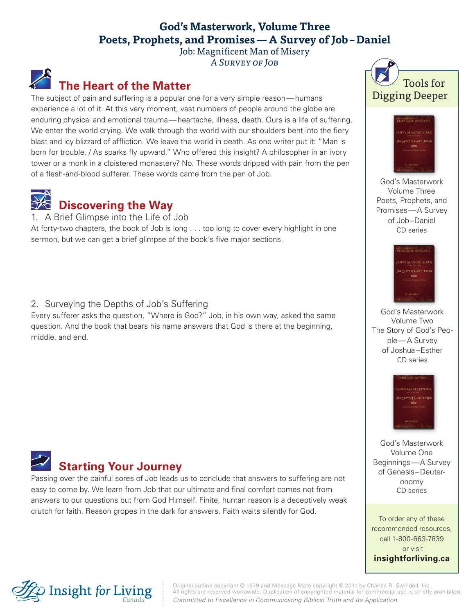### **God's Masterwork, Volume Three Poets, Prophets, and Promises—A Survey of Job–Daniel**

Job: Magnificent Man of Misery A Survey of Job

## **The Heart of the Matter**

The subject of pain and suffering is a popular one for a very simple reason—humans experience a lot of it. At this very moment, vast numbers of people around the globe are enduring physical and emotional trauma—heartache, illness, death. Ours is a life of suffering. We enter the world crying. We walk through the world with our shoulders bent into the fiery blast and icy blizzard of affliction. We leave the world in death. As one writer put it: "Man is born for trouble, / As sparks fly upward." Who offered this insight? A philosopher in an ivory tower or a monk in a cloistered monastery? No. These words dripped with pain from the pen of a flesh-and-blood sufferer. These words came from the pen of Job.

# **Discovering the Way**

1. A Brief Glimpse into the Life of Job

At forty-two chapters, the book of Job is long . . . too long to cover every highlight in one sermon, but we can get a brief glimpse of the book's five major sections.

#### 2. Surveying the Depths of Job's Suffering

Every sufferer asks the question, "Where is God?" Job, in his own way, asked the same question. And the book that bears his name answers that God is there at the beginning, middle, and end.



Passing over the painful sores of Job leads us to conclude that answers to suffering are not easy to come by. We learn from Job that our ultimate and final comfort comes not from answers to our questions but from God Himself. Finite, human reason is a deceptively weak crutch for faith. Reason gropes in the dark for answers. Faith waits silently for God.





God's Masterwork Volume Three Poets, Prophets, and Promises—A Survey of Job–Daniel CD series



God's Masterwork Volume Two The Story of God's People—A Survey of Joshua–Esther CD series



God's Masterwork Volume One Beginnings—A Survey of Genesis–Deuteronomy CD series

To order any of these recommended resources, call 1-800-663-7639 or visit **insightforliving.ca**



Original outline copyright © 1979 and Message Mate copyright © 2011 by Charles R. Swindoll, Inc. All rights are reserved worldwide. Duplication of copyrighted material for commercial use is strictly prohibited. *Committed to Excellence in Communicating Biblical Truth and Its Application*